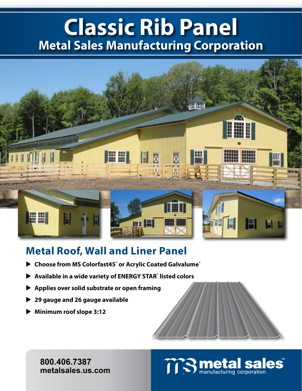## **Classic Rib Panel Metal Sales Manufacturing Corporation**



## **Metal Roof, Wall and Liner Panel**

- **Example 2 Choose from MS Colorfast45° or Acrylic Coated Galvalume<sup>®</sup>**
- ▶ Available in a wide variety of ENERGY STAR<sup>®</sup> listed colors
- **Applies over solid substrate or open framing**
- **29 gauge and 26 gauge available**
- **Minimum roof slope 3:12**

**800.406.7387 metalsales.us.com**